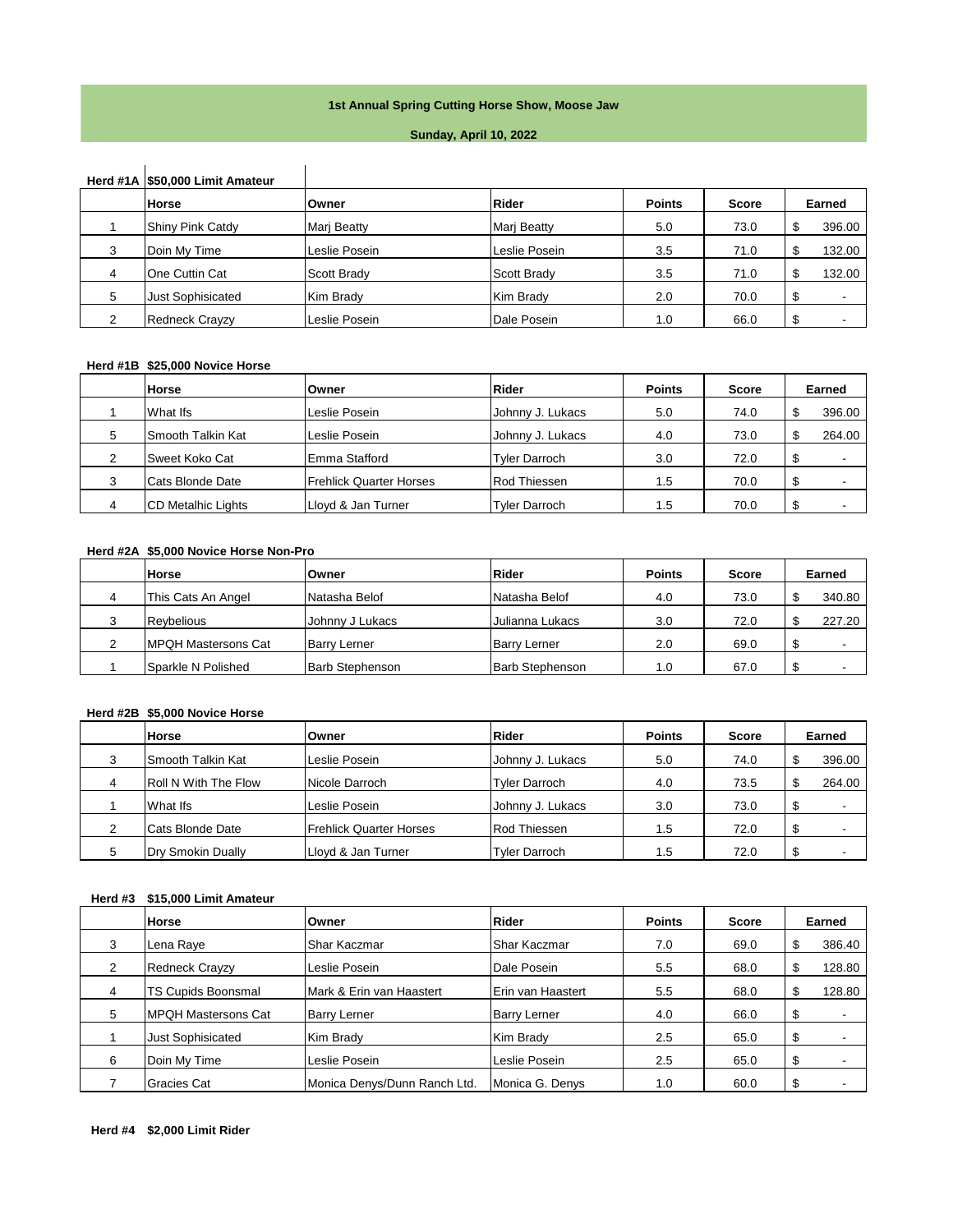### **1st Annual Spring Cutting Horse Show, Moose Jaw**

#### **Sunday, April 10, 2022**

# **Herd #1A \$50,000 Limit Amateur**

|   | Horse                    | Owner         | Rider              | <b>Points</b> | <b>Score</b> | Earned            |
|---|--------------------------|---------------|--------------------|---------------|--------------|-------------------|
|   | <b>Shiny Pink Catdy</b>  | Mari Beatty   | <b>Mari Beatty</b> | 5.0           | 73.0         | 396.00<br>₼<br>ъĐ |
| 3 | Doin My Time             | Leslie Posein | Leslie Posein      | 3.5           | 71.0         | 132.00<br>₼       |
| 4 | One Cuttin Cat           | Scott Brady   | Scott Brady        | 3.5           | 71.0         | 132.00<br>₼       |
| 5 | <b>Just Sophisicated</b> | Kim Brady     | Kim Brady          | 2.0           | 70.0         | \$.               |
|   | <b>Redneck Crayzy</b>    | Leslie Posein | Dale Posein        | 1.0           | 66.0         | \$                |

#### **Herd #1B \$25,000 Novice Horse**

|   | Horse                     | Owner                          | Rider                | <b>Points</b> | <b>Score</b> | Earned      |
|---|---------------------------|--------------------------------|----------------------|---------------|--------------|-------------|
|   | What Ifs                  | Leslie Posein                  | Johnny J. Lukacs     | 5.0           | 74.0         | 396.00      |
| 5 | Smooth Talkin Kat         | Leslie Posein                  | Johnny J. Lukacs     | 4.0           | 73.0         | ¢<br>264.00 |
| ◠ | Sweet Koko Cat            | Emma Stafford                  | <b>Tyler Darroch</b> | 3.0           | 72.0         | \$          |
|   | Cats Blonde Date          | <b>Frehlick Quarter Horses</b> | <b>Rod Thiessen</b>  | 1.5           | 70.0         | \$          |
|   | <b>CD Metalhic Lights</b> | Lloyd & Jan Turner             | <b>Tyler Darroch</b> | 1.5           | 70.0         | \$          |

#### **Herd #2A \$5,000 Novice Horse Non-Pro**

| <b>Horse</b>               | Owner                  | Rider                  | <b>Points</b> | Score | Earned |  |
|----------------------------|------------------------|------------------------|---------------|-------|--------|--|
| This Cats An Angel         | Natasha Belof          | Natasha Belof          | 4.0           | 73.0  | 340.80 |  |
| <b>Revbelious</b>          | Johnny J Lukacs        | Julianna Lukacs        | 3.0           | 72.0  | 227.20 |  |
| <b>MPQH Mastersons Cat</b> | <b>Barry Lerner</b>    | <b>Barry Lerner</b>    | 2.0           | 69.0  | Φ      |  |
| Sparkle N Polished         | <b>Barb Stephenson</b> | <b>Barb Stephenson</b> | 1.0           | 67.0  | \$.    |  |

## **Herd #2B \$5,000 Novice Horse**

| <b>Horse</b>                | Owner                   | Rider                | <b>Points</b> | Score | Earned |
|-----------------------------|-------------------------|----------------------|---------------|-------|--------|
| Smooth Talkin Kat           | Leslie Posein           | Johnny J. Lukacs     | 5.0           | 74.0  | 396.00 |
| <b>Roll N With The Flow</b> | Nicole Darroch          | Tyler Darroch        | 4.0           | 73.5  | 264.00 |
| What Ifs                    | Leslie Posein           | Johnny J. Lukacs     | 3.0           | 73.0  | \$     |
| Cats Blonde Date            | Frehlick Quarter Horses | <b>Rod Thiessen</b>  | 1.5           | 72.0  | \$     |
| Dry Smokin Dually           | Lloyd & Jan Turner      | <b>Tyler Darroch</b> | 1.5           | 72.0  | \$     |

### **Herd #3 \$15,000 Limit Amateur**

|   | <b>Horse</b>                | <b>Owner</b>                 | Rider               | <b>Points</b> | <b>Score</b> | Earned       |
|---|-----------------------------|------------------------------|---------------------|---------------|--------------|--------------|
| 3 | Lena Raye                   | Shar Kaczmar                 | Shar Kaczmar        | 7.0           | 69.0         | \$<br>386.40 |
| 2 | <b>Redneck Crayzy</b>       | Leslie Posein                | Dale Posein         | 5.5           | 68.0         | \$<br>128.80 |
| 4 | TS Cupids Boonsmal          | Mark & Erin van Haastert     | Erin van Haastert   | 5.5           | 68.0         | \$<br>128.80 |
| 5 | <b>IMPQH Mastersons Cat</b> | <b>Barry Lerner</b>          | <b>Barry Lerner</b> | 4.0           | 66.0         | \$           |
|   | <b>Just Sophisicated</b>    | Kim Brady                    | Kim Brady           | 2.5           | 65.0         | \$           |
| 6 | Doin My Time                | Leslie Posein                | Leslie Posein       | 2.5           | 65.0         | \$           |
|   | Gracies Cat                 | Monica Denys/Dunn Ranch Ltd. | Monica G. Denys     | 1.0           | 60.0         | \$           |